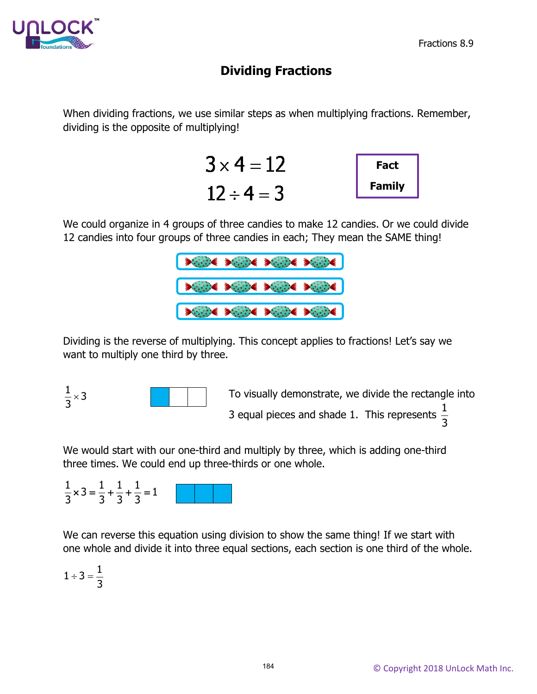

## **Dividing Fractions**

When dividing fractions, we use similar steps as when multiplying fractions. Remember, dividing is the opposite of multiplying!



We could organize in 4 groups of three candies to make 12 candies. Or we could divide 12 candies into four groups of three candies in each; They mean the SAME thing!



Dividing is the reverse of multiplying. This concept applies to fractions! Let's say we want to multiply one third by three.



To visually demonstrate, we divide the rectangle into 3 equal pieces and shade 1. This represents  $\frac{1}{2}$ 3

We would start with our one-third and multiply by three, which is adding one-third three times. We could end up three-thirds or one whole.

| $ \times$ $-$ |  |  |  |
|---------------|--|--|--|
|               |  |  |  |

We can reverse this equation using division to show the same thing! If we start with one whole and divide it into three equal sections, each section is one third of the whole.

$$
1\div 3=\frac{1}{3}
$$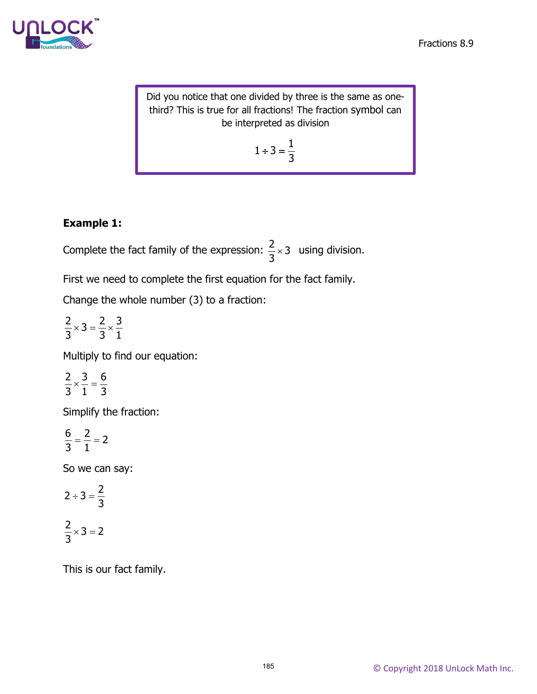

Did you notice that one divided by three is the same as onethird? This is true for all fractions! The fraction symbol can be interpreted as division

$$
1\div 3=\frac{1}{3}
$$

## **Example 1:**

Complete the fact family of the expression:  $\frac{2}{3} \times 3$ 3  $\times$  3 using division.

First we need to complete the first equation for the fact family.

Change the whole number (3) to a fraction:

 $\frac{2}{2} \times 3 = \frac{2}{2} \times \frac{3}{1}$ 3 31  $\times$  3 =  $\frac{2}{3} \times$ 

Multiply to find our equation:

$$
\frac{2}{3} \times \frac{3}{1} = \frac{6}{3}
$$

Simplify the fraction:

$$
\frac{6}{3}=\frac{2}{1}=2
$$

So we can say:

$$
2 \div 3 = \frac{2}{3}
$$

$$
\frac{2}{3} \times 3 = 2
$$

This is our fact family.